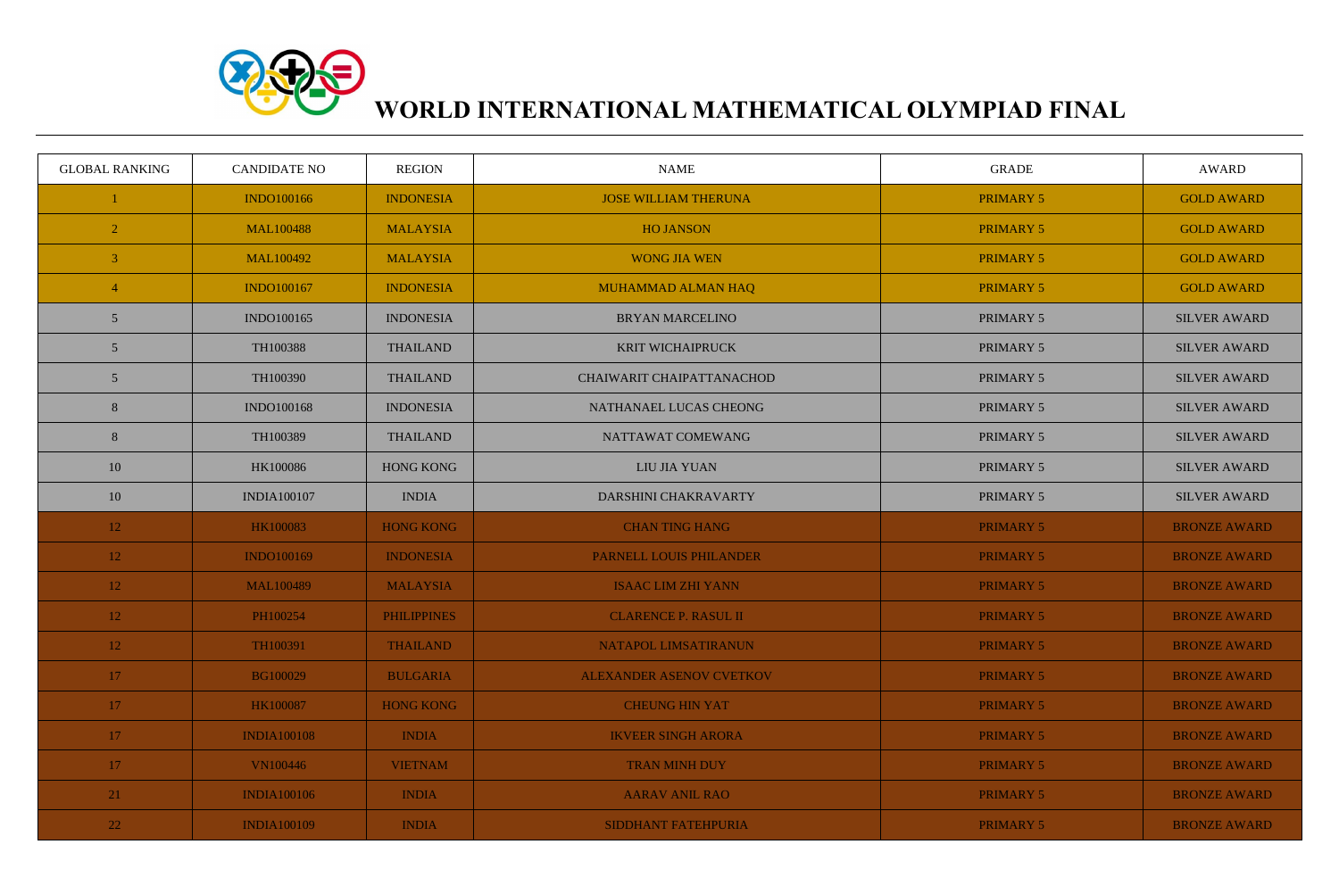

## **WORLD INTERNATIONAL MATHEMATICAL OLYMPIAD FINAL**

| <b>GLOBAL RANKING</b> | <b>CANDIDATE NO</b> | <b>REGION</b>      | <b>NAME</b>                     | <b>GRADE</b>     | <b>AWARD</b>        |
|-----------------------|---------------------|--------------------|---------------------------------|------------------|---------------------|
|                       | <b>INDO100166</b>   | <b>INDONESIA</b>   | <b>JOSE WILLIAM THERUNA</b>     | <b>PRIMARY 5</b> | <b>GOLD AWARD</b>   |
| $\overline{2}$        | <b>MAL100488</b>    | <b>MALAYSIA</b>    | <b>HO JANSON</b>                | <b>PRIMARY 5</b> | <b>GOLD AWARD</b>   |
| $\overline{3}$        | MAL100492           | <b>MALAYSIA</b>    | <b>WONG JIA WEN</b>             | <b>PRIMARY 5</b> | <b>GOLD AWARD</b>   |
| $\overline{4}$        | <b>INDO100167</b>   | <b>INDONESIA</b>   | MUHAMMAD ALMAN HAQ              | <b>PRIMARY 5</b> | <b>GOLD AWARD</b>   |
| 5                     | INDO100165          | <b>INDONESIA</b>   | <b>BRYAN MARCELINO</b>          | PRIMARY 5        | <b>SILVER AWARD</b> |
| 5                     | TH100388            | <b>THAILAND</b>    | <b>KRIT WICHAIPRUCK</b>         | PRIMARY 5        | <b>SILVER AWARD</b> |
| 5                     | TH100390            | <b>THAILAND</b>    | CHAIWARIT CHAIPATTANACHOD       | PRIMARY 5        | <b>SILVER AWARD</b> |
| 8                     | <b>INDO100168</b>   | <b>INDONESIA</b>   | NATHANAEL LUCAS CHEONG          | PRIMARY 5        | <b>SILVER AWARD</b> |
| 8                     | TH100389            | <b>THAILAND</b>    | NATTAWAT COMEWANG               | PRIMARY 5        | <b>SILVER AWARD</b> |
| 10                    | HK100086            | <b>HONG KONG</b>   | LIU JIA YUAN                    | PRIMARY 5        | <b>SILVER AWARD</b> |
| 10                    | <b>INDIA100107</b>  | <b>INDIA</b>       | DARSHINI CHAKRAVARTY            | PRIMARY 5        | <b>SILVER AWARD</b> |
| 12                    | <b>HK100083</b>     | <b>HONG KONG</b>   | <b>CHAN TING HANG</b>           | <b>PRIMARY 5</b> | <b>BRONZE AWARD</b> |
| <b>12</b>             | <b>INDO100169</b>   | <b>INDONESIA</b>   | PARNELL LOUIS PHILANDER         | <b>PRIMARY 5</b> | <b>BRONZE AWARD</b> |
| <b>12</b>             | <b>MAL100489</b>    | <b>MALAYSIA</b>    | <b>ISAAC LIM ZHI YANN</b>       | <b>PRIMARY 5</b> | <b>BRONZE AWARD</b> |
| 12                    | PH100254            | <b>PHILIPPINES</b> | <b>CLARENCE P. RASUL II</b>     | <b>PRIMARY 5</b> | <b>BRONZE AWARD</b> |
| 12                    | TH100391            | <b>THAILAND</b>    | NATAPOL LIMSATIRANUN            | <b>PRIMARY 5</b> | <b>BRONZE AWARD</b> |
| 17 <sup>2</sup>       | <b>BG100029</b>     | <b>BULGARIA</b>    | <b>ALEXANDER ASENOV CVETKOV</b> | <b>PRIMARY 5</b> | <b>BRONZE AWARD</b> |
| 17 <sup>2</sup>       | HK100087            | <b>HONG KONG</b>   | <b>CHEUNG HIN YAT</b>           | <b>PRIMARY 5</b> | <b>BRONZE AWARD</b> |
| 17 <sup>2</sup>       | <b>INDIA100108</b>  | <b>INDIA</b>       | <b>IKVEER SINGH ARORA</b>       | <b>PRIMARY 5</b> | <b>BRONZE AWARD</b> |
| 17 <sup>2</sup>       | <b>VN100446</b>     | <b>VIETNAM</b>     | <b>TRAN MINH DUY</b>            | <b>PRIMARY 5</b> | <b>BRONZE AWARD</b> |
| $\boxed{21}$          | <b>INDIA100106</b>  | <b>INDIA</b>       | <b>AARAV ANIL RAO</b>           | <b>PRIMARY 5</b> | <b>BRONZE AWARD</b> |
| 22                    | <b>INDIA100109</b>  | <b>INDIA</b>       | SIDDHANT FATEHPURIA             | <b>PRIMARY 5</b> | <b>BRONZE AWARD</b> |